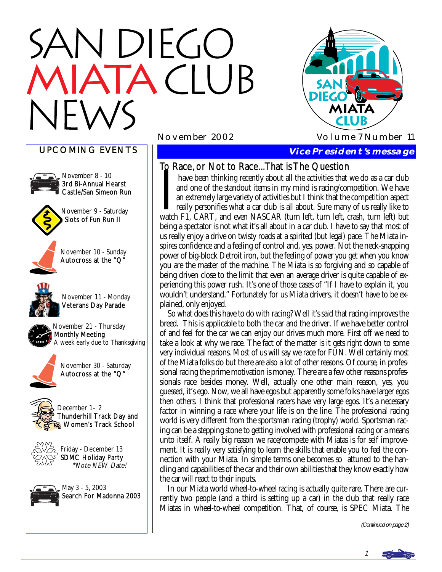# N DIEGO **TACLUB**



### UPCOMING EVENTS



November 8 - 10 3rd Bi-Annual Hearst Castle/San Simeon Run



November 9 - Saturday Slots of Fun Run II



November 10 - Sunday Autocross at the "Q"



November 11 - Monday Veterans Day Parade



November 21 - Thursday Monthly Meeting A week early due to Thanksgiving



November 30 - Saturday Autocross at the "Q"



December 1– 2 Thunderhill Track Day and **Women's Track School** 



Friday - December 13 SDMC Holiday Party \*Note NEW Date!



### **Vice President's message**

To Race, or Not to Race...That is The Question

I have been thinking recently about all the activities that we do as a car club and one of the standout items in my mind is racing/competition. We have an extremely large variety of activities but I think that the competit and one of the standout items in my mind is racing/competition. We have an extremely large variety of activities but I think that the competition aspect really personifies what a car club is all about. Sure many of us really like to watch F1, CART, and even NASCAR (turn left, turn left, crash, turn left) but being a spectator is not what it's all about in a car club. I have to say that most of us really enjoy a drive on twisty roads at a spirited (but legal) pace. The Miata inspires confidence and a feeling of control and, yes, power. Not the neck-snapping power of big-block Detroit iron, but the feeling of power you get when you know you are the master of the machine. The Miata is so forgiving and so capable of being driven close to the limit that even an average driver is quite capable of experiencing this power rush. It's one of those cases of "If I have to explain it, you wouldn't understand." Fortunately for us Miata drivers, it doesn't have to be explained, only enjoyed.

 So what does this have to do with racing? Well it's said that racing improves the breed. This is applicable to both the car and the driver. If we have better control of and feel for the car we can enjoy our drives much more. First off we need to take a look at why we race. The fact of the matter is it gets right down to some very individual reasons. Most of us will say we race for FUN. Well certainly most of the Miata folks do but there are also a lot of other reasons. Of course, in professional racing the prime motivation is money. There are a few other reasons professionals race besides money. Well, actually one other main reason, yes, you guessed, it's ego. Now, we all have egos but apparently some folks have larger egos then others. I think that professional racers have very large egos. It's a necessary factor in winning a race where your life is on the line. The professional racing world is very different from the sportsman racing (trophy) world. Sportsman racing can be a stepping stone to getting involved with professional racing or a means unto itself. A really big reason we race/compete with Miatas is for self improvement. It is really very satisfying to learn the skills that enable you to feel the connection with your Miata. In simple terms one becomes so attuned to the handling and capabilities of the car and their own abilities that they know exactly how the car will react to their inputs.

 In our Miata world wheel-to-wheel racing is actually quite rare. There are currently two people (and a third is setting up a car) in the club that really race Miatas in wheel-to-wheel competition. That, of course, is SPEC Miata. The

(Continued on page 2)

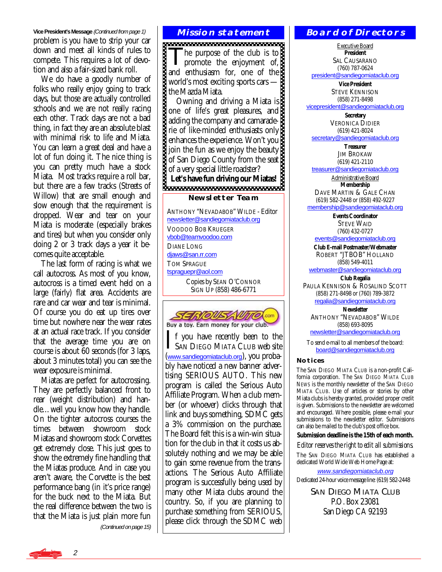**Vice President's Message** (Continued from page 1) problem is you have to strip your car down and meet all kinds of rules to compete. This requires a lot of devotion and also a fair-sized bank roll.

 We do have a goodly number of folks who really enjoy going to track days, but those are actually controlled schools and we are not really racing each other. Track days are not a bad thing, in fact they are an absolute blast with minimal risk to life and Miata. You can learn a great deal and have a lot of fun doing it. The nice thing is you can pretty much have a stock Miata. Most tracks require a roll bar, but there are a few tracks (Streets of Willow) that are small enough and slow enough that the requirement is dropped. Wear and tear on your Miata is moderate (especially brakes and tires) but when you consider only doing 2 or 3 track days a year it becomes quite acceptable.

 The last form of racing is what we call autocross. As most of you know, autocross is a timed event held on a large (fairly) flat area. Accidents are rare and car wear and tear is minimal. Of course you do eat up tires over time but nowhere near the wear rates at an actual race track. If you consider that the average time you are on course is about 60 seconds (for 3 laps, about 3 minutes total) you can see the wear exposure is minimal.

 Miatas are perfect for autocrossing. They are perfectly balanced front to rear (weight distribution) and handle…well you know how they handle. On the tighter autocross courses the times between showroom stock Miatas and showroom stock Corvettes get extremely close. This just goes to show the extremely fine handling that the Miatas produce. And in case you aren't aware, the Corvette is the best performance bang (in it's price range) for the buck next to the Miata. But the real difference between the two is that the Miata is just plain more fun

(Continued on page 15)

### **Mission statement**

The purpose of the club is to<br>promote the enjoyment of, and enthusiasm for, one of the world's most exciting sports cars the Mazda Miata.

 Owning and driving a Miata is one of life's great pleasures, and adding the company and camaraderie of like-minded enthusiasts only enhances the experience. Won't you join the fun as we enjoy the beauty of San Diego County from the seat of a very special little roadster? Let's have fun driving our Miatas!<br>**BECOMERGE DESCRIPTION** 

### **Newsletter Team**

ANTHONY "NEVADABOB" WILDE - Editor [newsletter@sandiegomiataclub.org](mailto:newsletter@sandiegomiataclub.org) VOODOO BOB KRUEGER [vbob@teamvoodoo.com](mailto:vbob@teamvoodoo.com) DIANE LONG [djaws@san.rr.com](mailto:djaws@san.rr.com) TOM SPRAGUE [tspraguepr@aol.com](mailto:tspraguepr@aol.com) Copies by SEAN O'CONNOR SIGN UP (858) 486-6771



If you have recently been to the<br>SAN DIEGO MIATA CLUB web site ([www.sandiegomiataclub.org](http://www.sandiegomiataclub.org)), you probably have noticed a new banner advertising SERIOUS AUTO. This new program is called the Serious Auto Affiliate Program. When a club member (or whoever) clicks through that link and buys something, SDMC gets a 3% commission on the purchase. The Board felt this is a win-win situation for the club in that it costs us absolutely nothing and we may be able to gain some revenue from the transactions. The Serious Auto Affiliate program is successfully being used by many other Miata clubs around the country. So, if you are planning to purchase something from SERIOUS, please click through the SDMC web

### **Board of Directors**

Executive Board **President**  SAL CAUSARANO (760) 787-0624

[president@sandiegomiataclub.org](mailto:president@sandiegomiataclub.org)

**Vice President**  STEVE KENNISON (858) 271-8498 [vicepresident@sandiegomiataclub.org](mailto:vicepresident@sandiegomiataclub.org)

**Secretary**  VERONICA DIDIER (619) 421-8024 [secretary@sandiegomiataclub.org](mailto:secretary@sandiegomiataclub.org)

**Treasurer** 

JIM BROKAW (619) 421-2110

[treasurer@sandiegomiataclub.org](mailto:treasurer@sandiegomiataclub.org) Administrative Board

**Membership** 

DAVE MARTIN & GALE CHAN (619) 582-2448 or (858) 492-9227

[membership@sandiegomiataclub.org](mailto:membership@sandiegomiataclub.org)

**Events Coordinator**  STEVE WAID (760) 432-0727

[events@sandiegomiataclub.org](mailto:events@sandiegomiataclub.org)

**Club E-mail Postmaster/Webmaster**  ROBERT "JTBOB" HOLLAND (858) 549-4011

[webmaster@sandiegomiataclub.org](mailto:webmaster@sandiegomiataclub.org) **Club Regalia** 

PAULA KENNISON & ROSALIND SCOTT (858) 271-8498 or (760) 789-3872 [regalia@sandiegomiataclub.org](mailto:regalia@sandiegomiataclub.org)

**Newsletter**  ANTHONY "NEVADABOB" WILDE (858) 693-8095

[newsletter@sandiegomiataclub.org](mailto:newsletter@sandiegomiataclub.org)

To send e-mail to all members of the board: [board@sandiegomiataclub.org](mailto:board@sandiegomiataclub.org)

### **Notices**

The SAN DIEGO MIATA CLUB is a non-profit California corporation. The *SAN DIEGO MIATA CLUB NEWS* is the monthly newsletter of the SAN DIEGO MIATA CLUB. Use of articles or stories by other Miata clubs is hereby granted, provided proper credit is given. Submissions to the newsletter are welcomed and encouraged. Where possible, please e-mail your submissions to the newsletter editor. Submissions can also be mailed to the club's post office box.

**Submission deadline is the 15th of each month.** 

*Editor reserves the right to edit all submissions.*

The SAN DIEGO MIATA CLUB has established a dedicated World Wide Web Home Page at:

[www.sandiegomiataclub.org](http://www.sandiegomiataclub.org) Dedicated 24-hour voice message line: (619) 582-2448

> **SAN DIEGO MIATA CLUB** P.O. Box 23081 San Diego CA 92193

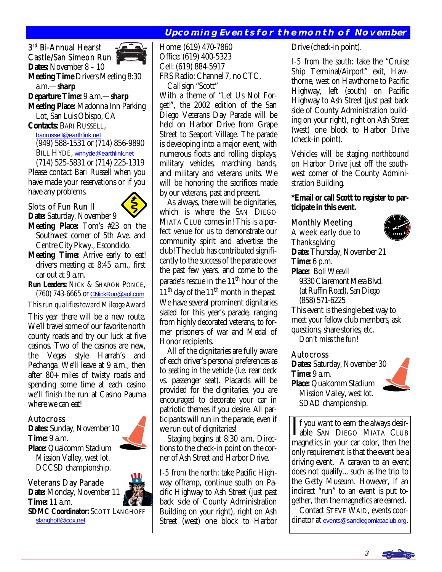### **Upcoming Events for the month of November**

3rd Bi-Annual Hearst Castle/San Simeon Run

**Dates:** November 8 – 10



**Meeting Time** Drivers Meeting 8:30 a.m.—*sharp* 

### **Departure Time:** 9 a.m.—*sharp*

**Meeting Place:** Madonna Inn Parking Lot, San Luis Obispo, CA

**Contacts:** BARI RUSSELL,

[barirussell@earthlink.net](mailto:barirussell@earthlink.net)

 (949) 588-1531 or (714) 856-9890 BILL HYDE, wnhyde@earthlink.net

 (714) 525-5831 or (714) 225-1319 Please contact Bari Russell when you have made your reservations or if you have any problems.

### Slots of Fun Run II



- **Date:** Saturday, November 9 **Meeting Place:** Tom's #23 on the Southwest corner of 5th Ave. and Centre City Pkwy., Escondido.
- **Meeting Time:** Arrive early to eat! drivers meeting at 8:45 a.m., first car out at 9 a.m.

**Run Leaders:** NICK & SHARON PONCE, (760) 743-6665 or [CNickRun@aol.com](mailto:CNickRun@aol.com)

*This run qualifies toward Mileage Award* 

This year there will be a new route. We'll travel some of our favorite north county roads and try our luck at five casinos. Two of the casinos are new, the Vegas style Harrah's and Pechanga. We'll leave at 9 a.m., then after 80+ miles of twisty roads and spending some time at each casino we'll finish the run at Casino Pauma where we can eat!

### Autocross

**Dates:** Sunday, November 10 **Time:** 9 a.m. **Place:** Qualcomm Stadium Mission Valley, west lot. DCCSD championship.

### Veterans Day Parade

**Date:** Monday, November 11 **Time:** 11 a.m. **SDMC Coordinator:** SCOTT LANGHOFF [slanghoff@cox.net](mailto:slanghoff@cox.net)

Home: (619) 470-7860 Office: (619) 400-5323 Cell: (619) 884-5917 FRS Radio: Channel 7, no CTC, Call sign "Scott"

With a theme of "Let Us Not Forget!", the 2002 edition of the San Diego Veterans Day Parade will be held on Harbor Drive from Grape Street to Seaport Village. The parade is developing into a major event, with numerous floats and rolling displays, military vehicles, marching bands, and military and veterans units. We will be honoring the sacrifices made by our veterans, past and present.

 As always, there will be dignitaries, which is where the SAN DIEGO MIATA CLUB comes in! This is a perfect venue for us to demonstrate our community spirit and advertise the club! The club has contributed significantly to the success of the parade over the past few years, and come to the parade's rescue in the 11<sup>th</sup> hour of the  $11<sup>th</sup>$  day of the  $11<sup>th</sup>$  month in the past. We have several prominent dignitaries slated for this year's parade, ranging from highly decorated veterans, to former prisoners of war and Medal of Honor recipients.

 All of the dignitaries are fully aware of each driver's personal preferences as to seating in the vehicle (i.e. rear deck vs. passenger seat). Placards will be provided for the dignitaries, you are encouraged to decorate your car in patriotic themes if you desire. All participants will run in the parade, even if we run out of dignitaries!

 Staging begins at 8:30 a.m. Directions to the check-in point on the corner of Ash Street and Harbor Drive.

*I-5 from the north:* take Pacific Highway offramp, continue south on Pacific Highway to Ash Street (just past back side of County Administration Building on your right), right on Ash Street (west) one block to Harbor Drive (check-in point).

*I-5 from the south:* take the "Cruise Ship Terminal/Airport" exit, Hawthorne, west on Hawthorne to Pacific Highway, left (south) on Pacific Highway to Ash Street (just past back side of County Administration building on your right), right on Ash Street (west) one block to Harbor Drive (check-in point).

Vehicles will be staging northbound on Harbor Drive just off the southwest corner of the County Administration Building.

### **\*Email or call Scott to register to participate in this event.**

### Monthly Meeting

A week early due to **Thanksgiving** 



**Date:** Thursday, November 21 **Time:** 6 p.m. **Place:** Boll Weevil 9330 Clairemont Mesa Blvd. (at Ruffin Road), San Diego (858) 571-6225 This event is the single best way to meet your fellow club members, ask questions, share stories, etc. *Don't miss the fun!*  Autocross

**Dates:** Saturday, November 30 **Time:** 9 a.m. **Place:** Qualcomm Stadium Mission Valley, west lot. SDAD championship.



If you want to earn the always desir-<br>able SAN DIEGO MIATA CLUB<br>magnetics in your ser selen than the magnetics in your car color, then the only requirement is that the event be a driving event. A caravan to an event does not qualify…such as the trip to the Getty Museum. However, if an indirect "run" to an event is put together, then the magnetics are earned.

 Contact STEVE WAID, events coordinator at [events@sandiegomiataclub.org](mailto:events@sandiegomiataclub.org).





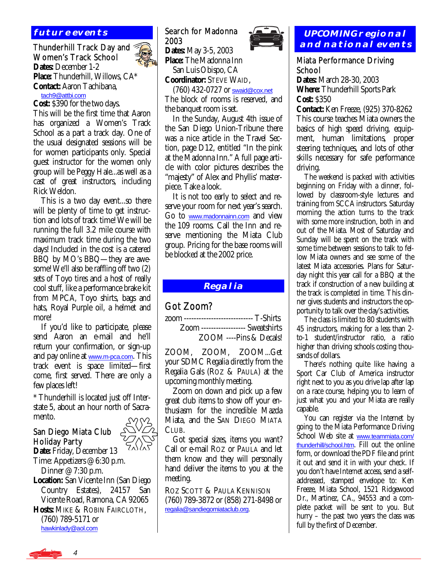### **future events**

### Thunderhill Track Day and Women's Track School **Dates:** December 1-2

**Place:** Thunderhill, Willows, CA\* **Contact:** Aaron Tachibana, [tach9@attbi.com](mailto:tach9@attbi.com)

**Cost:** \$390 for the two days.

This will be the first time that Aaron has organized a Women's Track School as a part a track day. One of the usual designated sessions will be for women participants only. Special guest instructor for the women only group will be Peggy Hale...as well as a cast of great instructors, including Rick Weldon.

 This is a two day event...so there will be plenty of time to get instruction and lots of track time! We will be running the full 3.2 mile course with maximum track time during the two days! Included in the cost is a catered BBQ by MO's BBQ—they are awesome! We'll also be raffling off two (2) sets of Toyo tires and a host of really cool stuff, like a performance brake kit from MPCA, Toyo shirts, bags and hats, Royal Purple oil, a helmet and more!

 If you'd like to participate, please send Aaron an e-mail and he'll return your confirmation, or sign-up and pay online at <u>[www.m-pca.com](http://www.m-pca.com)</u>. This track event is space limited—first come, first served. There are only a few places left!

\* Thunderhill is located just off Interstate 5, about an hour north of Sacramento.

### San Diego Miata Club Holiday Party

**Date:** Friday, December 13 Time: Appetizers @ 6:30 p.m. Dinner @ 7:30 p.m.

**Location:** San Vicente Inn (San Diego Country Estates), 24157 San Vicente Road, Ramona, CA 92065 **Hosts:** MIKE & ROBIN FAIRCLOTH, (760) 789-5171 or [hawkinlady@aol.com](mailto:hawkinlady@aol.com)

### Search for Madonna 2003

**Dates:** May 3-5, 2003 **Place:** The Madonna Inn San Luis Obispo, CA

**Coordinator:** STEVE WAID,

 (760) 432-0727 or [swaid@cox.net](mailto:swaid@cox.net) The block of rooms is reserved, and the banquet room is set.

 In the Sunday, August 4th issue of the San Diego Union-Tribune there was a nice article in the Travel Section, page D12, entitled "In the pink at the Madonna Inn." A full page article with color pictures describes the "majesty" of Alex and Phyllis' masterpiece. Take a look.

 It is not too early to select and reserve your room for next year's search. Go to [www.madonnainn.com](http://www.madonnainn.com) and view the 109 rooms. Call the Inn and reserve mentioning the Miata Club group. Pricing for the base rooms will be blocked at the 2002 price.

### **Regalia**

### Got Zoom?

zoom ---------------------------- T-Shirts Zoom ------------------ Sweatshirts ZOOM ----Pins & Decals!

ZOOM, ZOOM, ZOOM...Get your SDMC Regalia directly from the Regalia Gals (ROZ & PAULA) at the upcoming monthly meeting.

 Zoom on down and pick up a few great club items to show off your enthusiasm for the incredible Mazda Miata, and the SAN DIEGO MIATA CLUB.

 Got special sizes, items you want? Call or e-mail ROZ or PAULA and let them know and they will personally hand deliver the items to you at the meeting.

ROZ SCOTT & PAULA KENNISON (760) 789-3872 or (858) 271-8498 or [regalia@sandiegomiataclub.org.](mailto:regalia@sandiegomiataclub.org)



### Miata Performance Driving School

**Dates:** March 28-30, 2003 **Where:** Thunderhill Sports Park **Cost:** \$350

**Contact:** Ken Freeze, (925) 370-8262 This course teaches Miata owners the basics of high speed driving, equipment, human limitations, proper steering techniques, and lots of other skills necessary for safe performance driving.

 The weekend is packed with activities beginning on Friday with a dinner, followed by classroom-style lectures and training from SCCA instructors. Saturday morning the action turns to the track with some more instruction, both in and out of the Miata. Most of Saturday and Sunday will be spent on the track with some time between sessions to talk to fellow Miata owners and see some of the latest Miata accessories. Plans for Saturday night this year call for a BBQ at the track if construction of a new building at the track is completed in time. This dinner gives students and instructors the opportunity to talk over the day's activities.

 The class is limited to 80 students with 45 instructors, making for a less than 2 to-1 student/instructor ratio, a ratio higher than driving schools costing thousands of dollars.

 There's nothing quite like having a Sport Car Club of America instructor right next to you as you drive lap after lap on a race course, helping you to learn of just what you and your Miata are really capable.

 You can register via the Internet by going to the Miata Performance Driving School Web site at [www.teammiata.com/](http://www.teammiata.com/thunderhill/school.htm) [thunderhill/school.htm](http://www.teammiata.com/thunderhill/school.htm). Fill out the online form, or download the PDF file and print it out and send it in with your check. If you don't have Internet access, send a selfaddressed, stamped envelope to: Ken Freeze, Miata School, 1521 Ridgewood Dr., Martinez, CA., 94553 and a complete packet will be sent to you. But hurry – the past two years the class was full by the first of December.



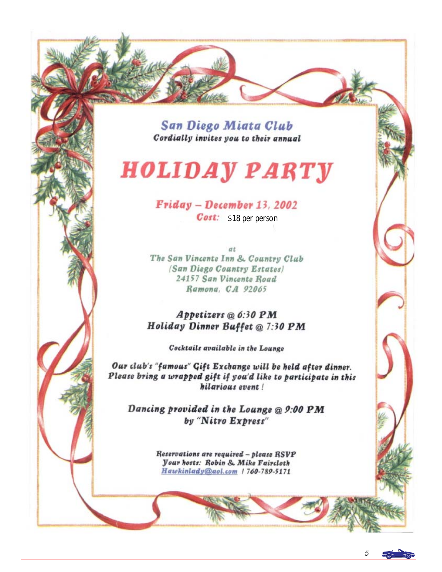**San Diego Miata Club** Cordially invites you to their annual

# **HOLIDAY PARTY**

Friday - December 13, 2002

Cost: \$18 per person

 $\sigma t$ The San Vincente Inn & Country Club (San Diego Country Estates) 24157 San Vincente Road Ramona, CA 92065

Appetizers @ 6:30 PM Holiday Dinner Buffet @ 7:30 PM

Cocktails available in the Lounge

Our club's "famous" Gift Exchange will be held after dinner. Please bring a wrapped gift if you'd like to participate in this hilarious event!

Dancing provided in the Lounge @ 9:00 PM by "Nitro Express"

> Reservations are required - please RSVP *<u>Vour hosts: Robin & Mike Faircloth</u>* Hawkinlady@aol.com 1760-789-5171

> > 5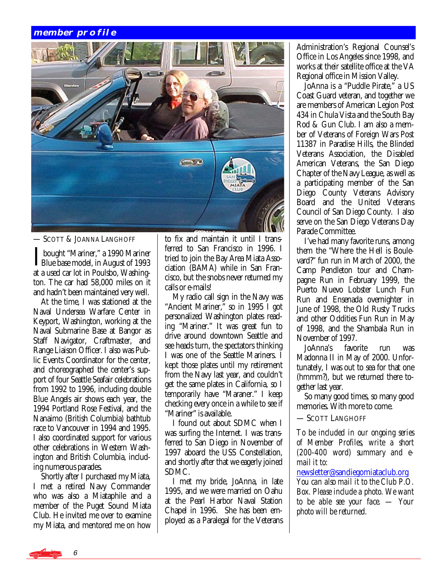### **member profile**



### — SCOTT & JOANNA LANGHOFF

**I** bought "Mariner," a 1990 Mariner<br>Blue base model, in August of 1993 at a used car lot in Poulsbo, Washington. The car had 58,000 miles on it and hadn't been maintained very well.

 At the time, I was stationed at the Naval Undersea Warfare Center in Keyport, Washington, working at the Naval Submarine Base at Bangor as Staff Navigator, Craftmaster, and Range Liaison Officer. I also was Public Events Coordinator for the center, and choreographed the center's support of four Seattle Seafair celebrations from 1992 to 1996, including double Blue Angels air shows each year, the 1994 Portland Rose Festival, and the Nanaimo (British Columbia) bathtub race to Vancouver in 1994 and 1995. I also coordinated support for various other celebrations in Western Washington and British Columbia, including numerous parades.

 Shortly after I purchased my Miata, I met a retired Navy Commander who was also a Miataphile and a member of the Puget Sound Miata Club. He invited me over to examine my Miata, and mentored me on how

to fix and maintain it until I transferred to San Francisco in 1996. I tried to join the Bay Area Miata Association (BAMA) while in San Francisco, but the snobs never returned my calls or e-mails!

 My radio call sign in the Navy was "Ancient Mariner," so in 1995 I got personalized Washington plates reading "Mariner." It was great fun to drive around downtown Seattle and see heads turn, the spectators thinking I was one of the Seattle Mariners. I kept those plates until my retirement from the Navy last year, and couldn't get the same plates in California, so I temporarily have "Maraner." I keep checking every once in a while to see if "Mariner" is available.

 I found out about SDMC when I was surfing the Internet. I was transferred to San Diego in November of 1997 aboard the USS Constellation, and shortly after that we eagerly joined SDMC.

 I met my bride, JoAnna, in late 1995, and we were married on Oahu at the Pearl Harbor Naval Station Chapel in 1996. She has been employed as a Paralegal for the Veterans Administration's Regional Counsel's Office in Los Angeles since 1998, and works at their satellite office at the VA Regional office in Mission Valley.

 JoAnna is a "Puddle Pirate," a US Coast Guard veteran, and together we are members of American Legion Post 434 in Chula Vista and the South Bay Rod & Gun Club. I am also a member of Veterans of Foreign Wars Post 11387 in Paradise Hills, the Blinded Veterans Association, the Disabled American Veterans, the San Diego Chapter of the Navy League, as well as a participating member of the San Diego County Veterans Advisory Board and the United Veterans Council of San Diego County. I also serve on the San Diego Veterans Day Parade Committee.

 I've had many favorite runs, among them the "Where the Hell is Boulevard?" fun run in March of 2000, the Camp Pendleton tour and Champagne Run in February 1999, the Puerto Nuevo Lobster Lunch Fun Run and Ensenada overnighter in June of 1998, the Old Rusty Trucks and other Oddities Fun Run in May of 1998, and the Shambala Run in November of 1997.

 JoAnna's favorite run was Madonna II in May of 2000. Unfortunately, I was out to sea for that one (hmmm?), but we returned there together last year.

 So many good times, so many good memories. With more to come.

— SCOTT LANGHOFF

*To be included in our ongoing series of Member Profiles, write a short (200-400 word) summary and email it to:* 

[newsletter@sandiegomiataclub.org](mailto:newsletter@sandiegomiataclub.org) *You can also mail it to the Club P.O. Box. Please include a photo. We want to be able see your face. — Your photo will be returned.*

6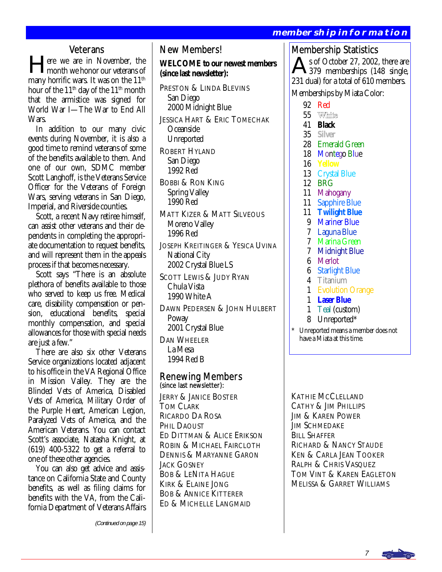### **membership information**

### **Veterans**

lere we are in November, the month we honor our veterans of many horrific wars. It was on the  $11<sup>th</sup>$ hour of the  $11<sup>th</sup>$  day of the  $11<sup>th</sup>$  month that the armistice was signed for World War I—The War to End All Wars.

 In addition to our many civic events during November, it is also a good time to remind veterans of some of the benefits available to them. And one of our own, SDMC member Scott Langhoff, is the Veterans Service Officer for the Veterans of Foreign Wars, serving veterans in San Diego, Imperial, and Riverside counties.

 Scott, a recent Navy retiree himself, can assist other veterans and their dependents in completing the appropriate documentation to request benefits, and will represent them in the appeals process if that becomes necessary.

 Scott says "There is an absolute plethora of benefits available to those who served to keep us free. Medical care, disability compensation or pension, educational benefits, special monthly compensation, and special allowances for those with special needs are just a few."

 There are also six other Veterans Service organizations located adjacent to his office in the VA Regional Office in Mission Valley. They are the Blinded Vets of America, Disabled Vets of America, Military Order of the Purple Heart, American Legion, Paralyzed Vets of America, and the American Veterans. You can contact Scott's associate, Natasha Knight, at (619) 400-5322 to get a referral to one of these other agencies.

 You can also get advice and assistance on California State and County benefits, as well as filing claims for benefits with the VA, from the California Department of Veterans Affairs

(Continued on page 15)

### New Members!

**WELCOME to our newest members (since last newsletter):** 

- PRESTON & LINDA BLEVINS San Diego 2000 Midnight Blue JESSICA HART & ERIC TOMECHAK Oceanside Unreported
- ROBERT HYLAND San Diego 1992 Red
- BOBBI & RON KING Spring Valley 1990 Red
- MATT KIZER & MATT SILVEOUS Moreno Valley 1996 Red
- JOSEPH KREITINGER & YESICA UVINA National City 2002 Crystal Blue LS
- SCOTT LEWIS & JUDY RYAN Chula Vista 1990 White A
- DAWN PEDERSEN & JOHN HULBERT Poway 2001 Crystal Blue DAN WHEELER

 La Mesa 1994 Red B

### Renewing Members (since last newsletter):

JERRY & JANICE BOSTER TOM CLARK RICARDO DA ROSA PHIL DAOUST ED DITTMAN & ALICE ERIKSON ROBIN & MICHAEL FAIRCLOTH DENNIS & MARYANNE GARON JACK GOSNEY BOB & LENITA HAGUE KIRK & ELAINE JONG BOB & ANNICE KITTERER ED & MICHELLE LANGMAID

Membership Statistics

s of October 27, 2002, there are 379 memberships (148 single, 231 dual) for a total of 610 members.

Memberships by Miata Color:

- 92 Red
- 55 White
- 41 **Black**
- 35 **Silver**
- 28 Emerald Green
- 18 Montego Blue
- 16 **Yellow**
- 13 Crystal Blue
- 12 BRG
- 11 Mahogany
- 11 Sapphire Blue
- 11 **Twilight Blue**
- 9 Mariner Blue
- 7 Laguna Blue
- 7 Marina Green
- 7 Midnight Blue
- 6 Merlot
- 6 Starlight Blue
- 4 Titanium
- 1 Evolution Orange
- 1 **Laser Blue**
- 1 Teal (custom)
- 8 Unreported\*
- Unreported means a member does not have a Miata at this time.

KATHIE MCCLELLAND CATHY & JIM PHILLIPS JIM & KAREN POWER **JIM SCHMEDAKE** BILL SHAFFER RICHARD & NANCY STAUDE KEN & CARLA JEAN TOOKER RALPH & CHRIS VASQUEZ TOM VINT & KAREN EAGLETON MELISSA & GARRET WILLIAMS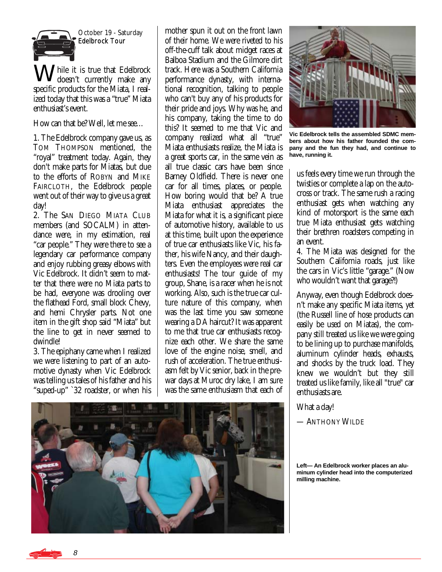

October 19 - Saturday Edelbrock Tour

hile it is true that Edelbrock doesn't currently make any specific products for the Miata, I realized today that this was a "true" Miata enthusiast's event.

How can that be? Well, let me see…

1. The Edelbrock company gave us, as TOM THOMPSON mentioned, the "royal" treatment today. Again, they don't make parts for Miatas, but due to the efforts of ROBYN and MIKE FAIRCLOTH, the Edelbrock people went out of their way to give us a great day!

2. The SAN DIEGO MIATA CLUB members (and SOCALM) in attendance were, in my estimation, real "car people." They were there to see a legendary car performance company and enjoy rubbing greasy elbows with Vic Edelbrock. It didn't seem to matter that there were no Miata parts to be had, everyone was drooling over the flathead Ford, small block Chevy, and hemi Chrysler parts. Not one item in the gift shop said "Miata" but the line to get in never seemed to dwindle!

3. The epiphany came when I realized we were listening to part of an automotive dynasty when Vic Edelbrock was telling us tales of his father and his "suped-up" `32 roadster, or when his

mother spun it out on the front lawn of their home. We were riveted to his off-the-cuff talk about midget races at Balboa Stadium and the Gilmore dirt track. Here was a Southern California performance dynasty, with international recognition, talking to people who can't buy any of his products for their pride and joys. Why was he, and his company, taking the time to do this? It seemed to me that Vic and company realized what all "true" Miata enthusiasts realize, the Miata is a great sports car, in the same vein as all true classic cars have been since Barney Oldfield. There is never one car for all times, places, or people. How boring would that be? A true Miata enthusiast appreciates the Miata for what it is, a significant piece of automotive history, available to us at this time, built upon the experience of true car enthusiasts like Vic, his father, his wife Nancy, and their daughters. Even the employees were real car enthusiasts! The tour guide of my group, Shane, is a racer when he is not working. Also, such is the true car culture nature of this company, when was the last time you saw someone wearing a DA haircut? It was apparent to me that true car enthusiasts recognize each other. We share the same love of the engine noise, smell, and rush of acceleration. The true enthusiasm felt by Vic senior, back in the prewar days at Muroc dry lake, I am sure was the same enthusiasm that each of



**Vic Edelbrock tells the assembled SDMC members about how his father founded the company and the fun they had, and continue to have, running it.** 

us feels every time we run through the twisties or complete a lap on the autocross or track. The same rush a racing enthusiast gets when watching any kind of motorsport is the same each true Miata enthusiast gets watching their brethren roadsters competing in an event.

4. The Miata was designed for the Southern California roads, just like the cars in Vic's little "garage." (Now who wouldn't want that garage?!)

Anyway, even though Edelbrock doesn't make any specific Miata items, *yet* (the Russell line of hose products can easily be used on Miatas), the company still treated us like we were going to be lining up to purchase manifolds, aluminum cylinder heads, exhausts, and shocks by the truck load. They knew we wouldn't but they still treated us like family, like all "true" car enthusiasts are.

What a day!

— ANTHONY WILDE



**Left— An Edelbrock worker places an aluminum cylinder head into the computerized milling machine.** 

8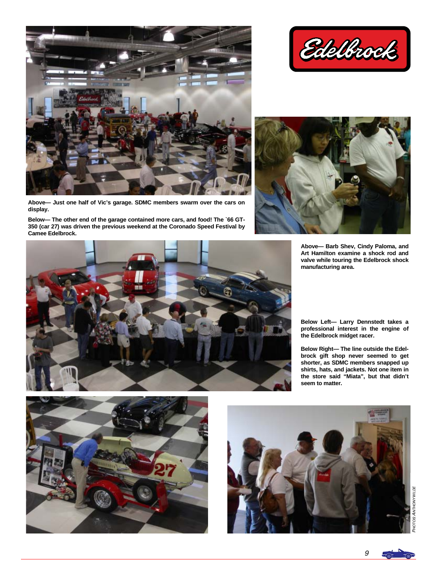

**Above— Just one half of Vic's garage. SDMC members swarm over the cars on display.** 

**Below— The other end of the garage contained more cars, and food! The `66 GT-350 (car 27) was driven the previous weekend at the Coronado Speed Festival by Camee Edelbrock.** 







**Above— Barb Shev, Cindy Paloma, and Art Hamilton examine a shock rod and valve while touring the Edelbrock shock manufacturing area.** 

**Below Left— Larry Dennstedt takes a professional interest in the engine of the Edelbrock midget racer.** 

**Below Right— The line outside the Edelbrock gift shop never seemed to get shorter, as SDMC members snapped up shirts, hats, and jackets. Not one item in the store said "Miata", but that didn't seem to matter.** 





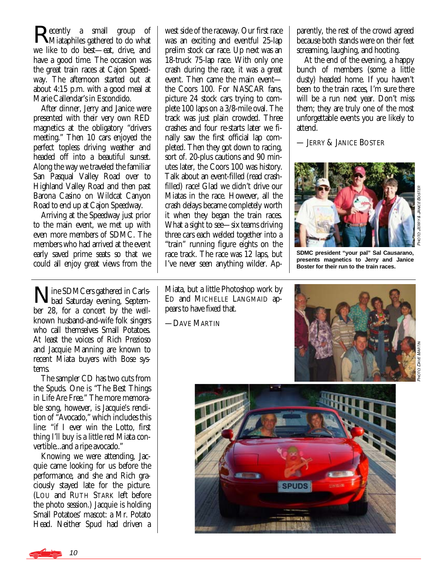**Recently** a small group of **N**Miataphiles gathered to do what we like to do best—eat, drive, and have a good time. The occasion was the great train races at Cajon Speedway. The afternoon started out at about 4:15 p.m. with a good meal at Marie Callendar's in Escondido.

 After dinner, Jerry and Janice were presented with their very own RED magnetics at the obligatory "drivers meeting." Then 10 cars enjoyed the perfect topless driving weather and headed off into a beautiful sunset. Along the way we traveled the familiar San Pasqual Valley Road over to Highland Valley Road and then past Barona Casino on Wildcat Canyon Road to end up at Cajon Speedway.

 Arriving at the Speedway just prior to the main event, we met up with even more members of SDMC. The members who had arrived at the event early saved prime seats so that we could all enjoy great views from the

Nine SDMCers gathered in Carls-bad Saturday evening, September 28, for a concert by the wellknown husband-and-wife folk singers who call themselves Small Potatoes. At least the voices of Rich Prezioso and Jacquie Manning are known to recent Miata buyers with Bose systems.

 The sampler CD has two cuts from the Spuds. One is "The Best Things in Life Are Free." The more memorable song, however, is Jacquie's rendition of "Avocado," which includes this line: "if I ever win the Lotto, first thing I'll buy is a little red Miata convertible...and a ripe avocado."

 Knowing we were attending, Jacquie came looking for us before the performance, and she and Rich graciously stayed late for the picture. (LOU and RUTH STARK left before the photo session.) Jacquie is holding Small Potatoes' mascot: a Mr. Potato Head. Neither Spud had driven a west side of the raceway. Our first race was an exciting and eventful 25-lap prelim stock car race. Up next was an 18-truck 75-lap race. With only one crash during the race, it was a great event. Then came the main event the Coors 100. For NASCAR fans, picture 24 stock cars trying to complete 100 laps on a 3/8-mile oval. The track was just plain crowded. Three crashes and four re-starts later we finally saw the first official lap completed. Then they got down to racing, sort of. 20-plus cautions and 90 minutes later, the Coors 100 was history. Talk about an event-filled (read crashfilled) race! Glad we didn't drive our Miatas in the race. However, all the crash delays became completely worth it when they began the train races. What a sight to see—six teams driving three cars each welded together into a "train" running figure eights on the race track. The race was 12 laps, but I've never seen anything wilder. Ap-

Miata, but a little Photoshop work by ED and MICHELLE LANGMAID appears to have fixed that.

—DAVE MARTIN

parently, the rest of the crowd agreed because both stands were on their feet screaming, laughing, and hooting.

 At the end of the evening, a happy bunch of members (some a little dusty) headed home. If you haven't been to the train races, I'm sure there will be a run next year. Don't miss them; they are truly one of the most unforgettable events you are likely to attend.

— JERRY & JANICE BOSTER



**SDMC president "your pal" Sal Causarano, presents magnetics to Jerry and Janice Boster for their run to the train races.** 



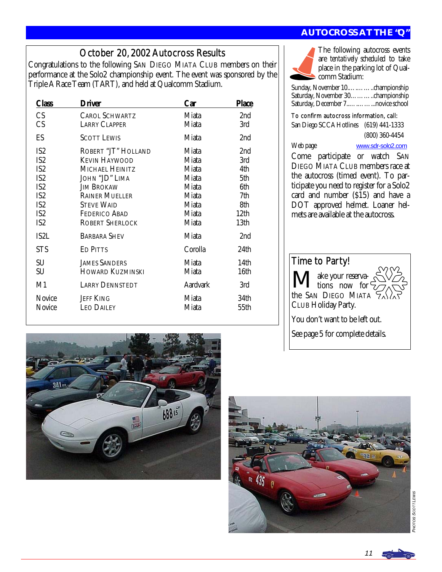### October 20, 2002 Autocross Results

Congratulations to the following SAN DIEGO MIATA CLUB members on their performance at the Solo2 championship event. The event was sponsored by the Triple A Race Team (TART), and held at Qualcomm Stadium.

| Class                                                                                                                                                       | <b>Driver</b>                                                                                                                                                                                         | Car                                                                           | <b>Place</b>                                                  |
|-------------------------------------------------------------------------------------------------------------------------------------------------------------|-------------------------------------------------------------------------------------------------------------------------------------------------------------------------------------------------------|-------------------------------------------------------------------------------|---------------------------------------------------------------|
| CS<br><b>CS</b>                                                                                                                                             | <b>CAROL SCHWARTZ</b><br><b>LARRY CLAPPER</b>                                                                                                                                                         | Miata<br>Miata                                                                | 2nd<br>3rd                                                    |
| ES                                                                                                                                                          | <b>SCOTT LEWIS</b>                                                                                                                                                                                    | Miata                                                                         | 2nd                                                           |
| IS <sub>2</sub><br>IS <sub>2</sub><br>IS <sub>2</sub><br>IS <sub>2</sub><br>IS <sub>2</sub><br>IS <sub>2</sub><br>IS <sub>2</sub><br>IS <sub>2</sub><br>IS2 | ROBERT "JT" HOLLAND<br><b>KEVIN HAYWOOD</b><br>MICHAEL HEINITZ<br>JOHN "JD" LIMA<br><b>JIM BROKAW</b><br><b>RAINER MUELLER</b><br><b>STEVE WAID</b><br><b>FEDERICO ABAD</b><br><b>ROBERT SHERLOCK</b> | Miata<br>Miata<br>Miata<br>Miata<br>Miata<br>Miata<br>Miata<br>Miata<br>Miata | 2nd<br>3rd<br>4th<br>5th<br>6th<br>7th<br>8th<br>12th<br>13th |
| IS2L                                                                                                                                                        | <b>BARBARA SHEV</b>                                                                                                                                                                                   | Miata                                                                         | 2nd                                                           |
| <b>STS</b>                                                                                                                                                  | <b>ED PITTS</b>                                                                                                                                                                                       | Corolla                                                                       | 24th                                                          |
| SU<br>SU                                                                                                                                                    | <b>JAMES SANDERS</b><br><b>HOWARD KUZMINSKI</b>                                                                                                                                                       | Miata<br>Miata                                                                | 14th<br>16th                                                  |
| M1                                                                                                                                                          | <b>LARRY DENNSTEDT</b>                                                                                                                                                                                | <b>Aardvark</b>                                                               | 3rd                                                           |
| Novice<br>Novice                                                                                                                                            | <b>JEFF KING</b><br><b>LEO DAILEY</b>                                                                                                                                                                 | Miata<br>Miata                                                                | 34th<br>55th                                                  |

### **AUTOCROSS AT THE "Q"**



The following autocross events are *tentatively scheduled* to take place in the parking lot of Qualcomm Stadium:

Sunday, November 10.….……..championship Saturday, November 30………..championship Saturday, December 7..….……...novice school

### To confirm autocross information, call:

San Diego SCCA Hotlines (619) 441-1333 (800) 360-4454

Web page [www.sdr-solo2.com](http://www.sdr-solo2.com)

Time to Party!

ake your reserva-I tions now for the SAN DIEGO MIATA CLUB Holiday Party.

You don't want to be left out.

See page 5 for complete details.

Come participate or watch SAN

DIEGO MIATA CLUB members race at the autocross (timed event). To participate you need to register for a Solo2 card and number (\$15) and have a DOT approved helmet. Loaner helmets are available at the autocross.





PHOT 08 SCOTT LEWIS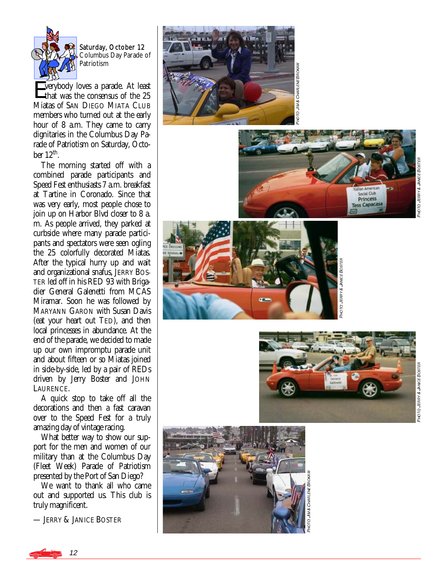

b er 12 Columbus Day Parade of Patriotism

Everybody loves a parade. At least that was the consensus of the 25 Miatas of SAN DIEGO MIATA CLUB members who turned out at the early hour of 8 a.m. They came to carry dignitaries in the Columbus Day Parade of Patriotism on Saturday, October  $12<sup>th</sup>$ .

 The morning started off with a combined parade participants and Speed Fest enthusiasts 7 a.m. breakfast at Tartine in Coronado. Since that was very early, most people chose to join up on Harbor Blvd closer to 8 a. m. As people arrived, they parked at curbside where many parade participants and spectators were seen ogling the 25 colorfully decorated Miatas. After the typical hurry up and wait and organizational snafus, JERRY BOS-TER led off in his RED 93 with Brigadier General Galenetti from MCAS MARYANN GARON with Susan Davis (eat your heart out TED), and then local princesses in abundance. At the end of the parade, we decided to made up our own impromptu parade unit and about fifteen or so Miatas joined in side-by-side, led by a pair of REDs driven by Jerry Boster and JOHN LAURENCE. Saturday, Octo Columbus Day<br>
Saturday, Octo Columbus Day<br>
Columbus Day<br>
Patriotism<br>
Terrybody loves a parade.<br>
Linkt was the consensus of Miartinies in the Columbus Day<br>
dignitaries in the Columbus durat at hour of 8 a.m.

 A quick stop to take off all the decorations and then a fast caravan over to the Speed Fest for a truly amazing day of vintage racing.

 What better way to show our support for the men and women of our military than at the Columbus Day (Fleet Week) Parade of Patriotism presented by the Port of San Diego?

 We want to thank all who came out and supported us. This club is truly magnificent.

- JERRY & JANICE BOSTER











a JERRY & JAWICE BOSTI £

PHOT

PHOT

a JERRY & JAWCE BOSTI

£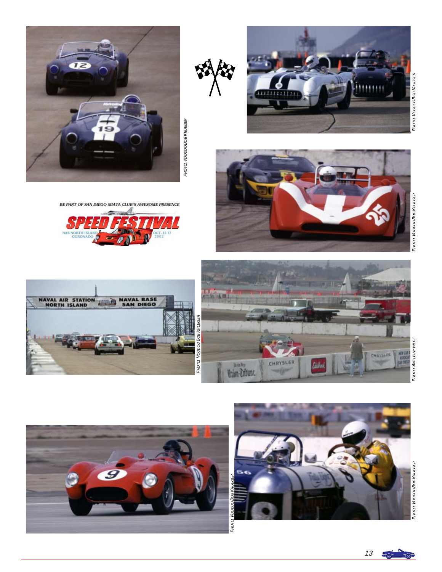











BE PART OF SAN DIEGO MIATA CLUB'S AWESOME PRESENCE







S





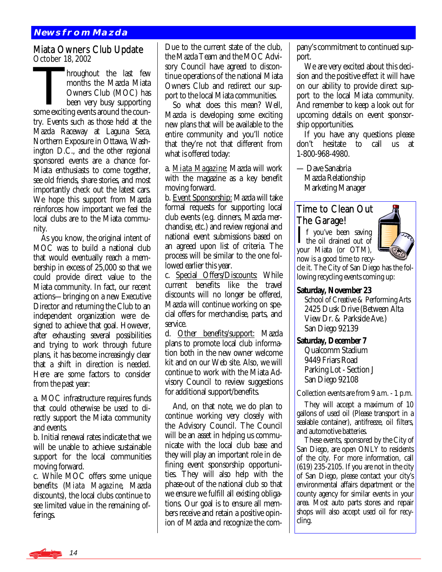### **News from Mazda**

## Miata Owners Club Update<br>October 18, 2002

October 18, 2002<br>
Inoughout the last few<br>
months the Mazda Miata<br>
Owners Club (MOC) has<br>
been very busy supporting months the Mazda Miata Owners Club (MOC) has been very busy supporting some exciting events around the country. Events such as those held at the Mazda Raceway at Laguna Seca, Northern Exposure in Ottawa, Washington D.C., and the other regional sponsored events are a chance for-Miata enthusiasts to come together, see old friends, share stories, and most importantly check out the latest cars. We hope this support from Mazda reinforces how important we feel the local clubs are to the Miata community.

 As you know, the original intent of MOC was to build a national club that would eventually reach a membership in excess of 25,000 so that we could provide direct value to the Miata community. In fact, our recent actions—bringing on a new Executive Director and returning the Club to an independent organization were designed to achieve that goal. However, after exhausting several possibilities and trying to work through future plans, it has become increasingly clear that a shift in direction is needed. Here are some factors to consider from the past year:

a. MOC infrastructure requires funds that could otherwise be used to directly support the Miata community and events.

b. Initial renewal rates indicate that we will be unable to achieve sustainable support for the local communities moving forward.

c. While MOC offers some unique benefits (*Miata Magazine*, Mazda discounts), the local clubs continue to see limited value in the remaining offerings.

Due to the current state of the club, the Mazda Team and the MOC Advisory Council have agreed to discontinue operations of the national Miata Owners Club and redirect our support to the local Miata communities.

 So what does this mean? Well, Mazda is developing some exciting new plans that will be available to the entire community and you'll notice that they're not that different from what is offered today:

a. *Miata Magazine*: Mazda will work with the magazine as a key benefit moving forward.

b. Event Sponsorship: Mazda will take formal requests for supporting local club events (e.g. dinners, Mazda merchandise, etc.) and review regional and national event submissions based on an agreed upon list of criteria. The process will be similar to the one followed earlier this year.

c. Special Offers/Discounts: While current benefits like the travel discounts will no longer be offered, Mazda will continue working on special offers for merchandise, parts, and service.

d. Other benefits/support: Mazda plans to promote local club information both in the new owner welcome kit and on our Web site. Also, we will continue to work with the Miata Advisory Council to review suggestions for additional support/benefits.

 And, on that note, we do plan to continue working very closely with the Advisory Council. The Council will be an asset in helping us communicate with the local club base and they will play an important role in defining event sponsorship opportunities. They will also help with the phase-out of the national club so that we ensure we fulfill all existing obligations. Our goal is to ensure all members receive and retain a positive opinion of Mazda and recognize the company's commitment to continued support.

 We are very excited about this decision and the positive effect it will have on our ability to provide direct support to the local Miata community. And remember to keep a look out for upcoming details on event sponsorship opportunities.

 If you have any questions please don't hesitate to call us at 1-800-968-4980.

— Dave Sanabria Mazda Relationship Marketing Manager

### Time to Clean Out The Garage!

 $\prod$  f you've been saving<br>the oil drained out of your Miata (or OTM), now is a good time to recy-



cle it. The City of San Diego has the following recycling events coming up:

### **Saturday, November 23**

 School of Creative & Performing Arts 2425 Dusk Drive (Between Alta View Dr. & Parkside Ave.) San Diego 92139

### **Saturday, December 7**

 Qualcomm Stadium 9449 Friars Road Parking Lot - Section J San Diego 92108

Collection events are from 9 a.m. - 1 p.m.

 They will accept a maximum of 10 gallons of used oil (Please transport in a sealable container), antifreeze, oil filters, and automotive batteries.

 These events, sponsored by the City of San Diego, are open ONLY to residents of the city. For more information, call (619) 235-2105. If you are not in the city of San Diego, please contact your city's environmental affairs department or the county agency for similar events in your area. Most auto parts stores and repair shops will also accept used oil for recycling.

14 a La